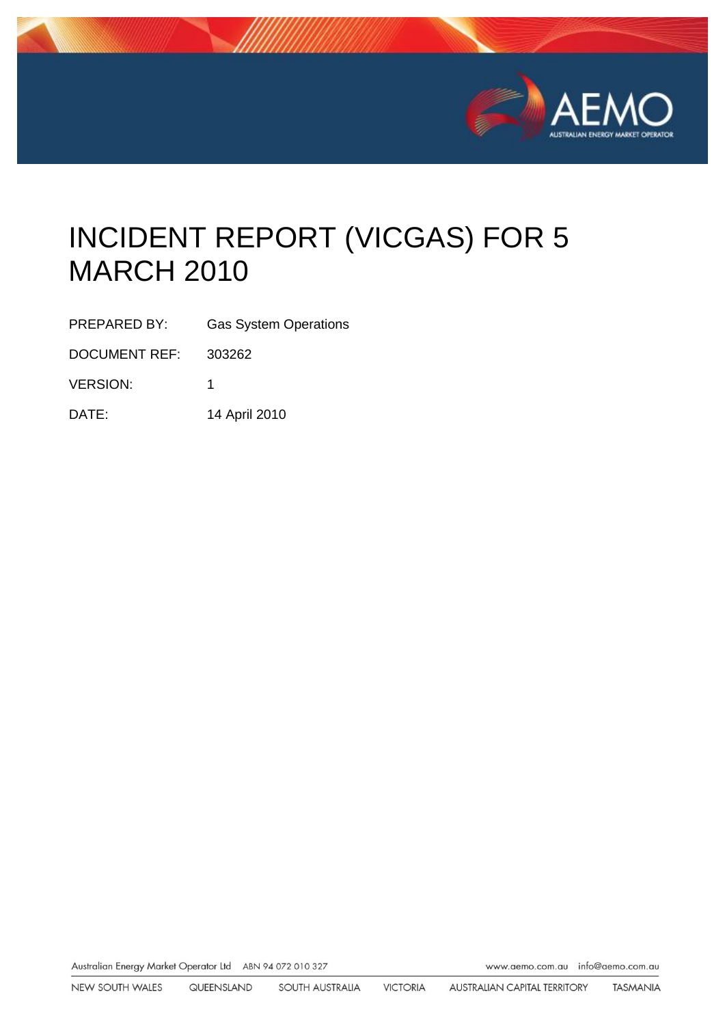

# INCIDENT REPORT (VICGAS) FOR 5 MARCH 2010

| PREPARED BY:    | <b>Gas System Operations</b> |
|-----------------|------------------------------|
| DOCUMENT REF:   | 303262                       |
| <b>VERSION:</b> | 1                            |
| DATE:           | 14 April 2010                |

Australian Energy Market Operator Ltd ABN 94 072 010 327 www.aemo.com.au inlo@oemo.com.au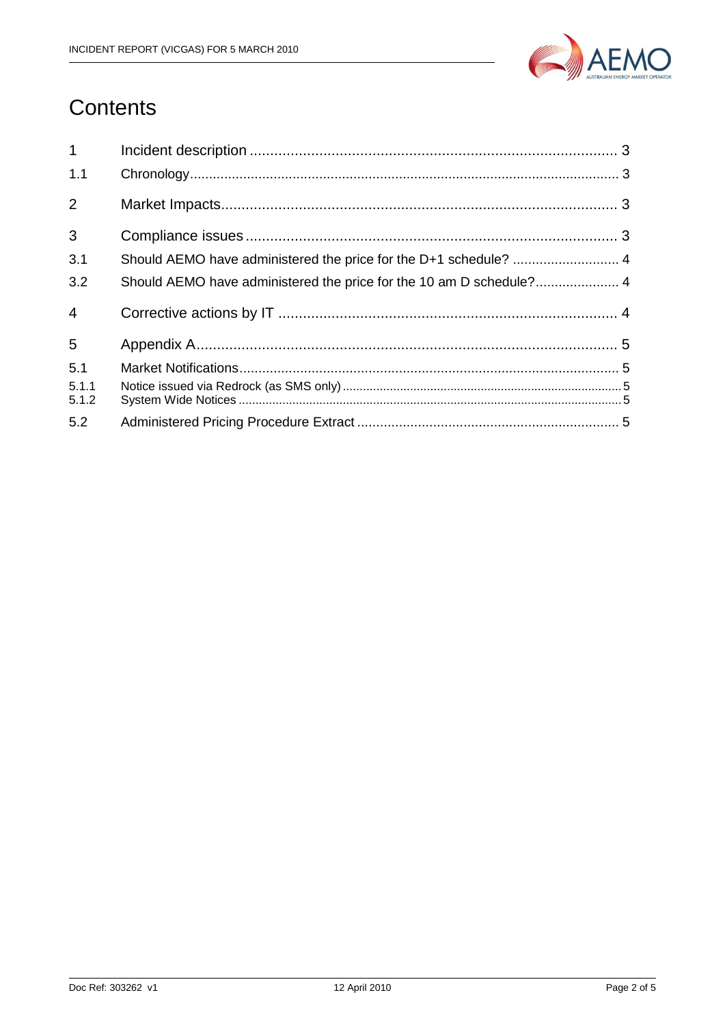

# Contents

| 1 <sup>1</sup> |                                                                     |  |
|----------------|---------------------------------------------------------------------|--|
| 1.1            |                                                                     |  |
| 2              |                                                                     |  |
| $\overline{3}$ |                                                                     |  |
| 3.1            | Should AEMO have administered the price for the D+1 schedule?  4    |  |
| 3.2            | Should AEMO have administered the price for the 10 am D schedule? 4 |  |
| $\overline{4}$ |                                                                     |  |
| 5              |                                                                     |  |
| 5.1            |                                                                     |  |
| 5.1.1<br>5.1.2 |                                                                     |  |
| 5.2            |                                                                     |  |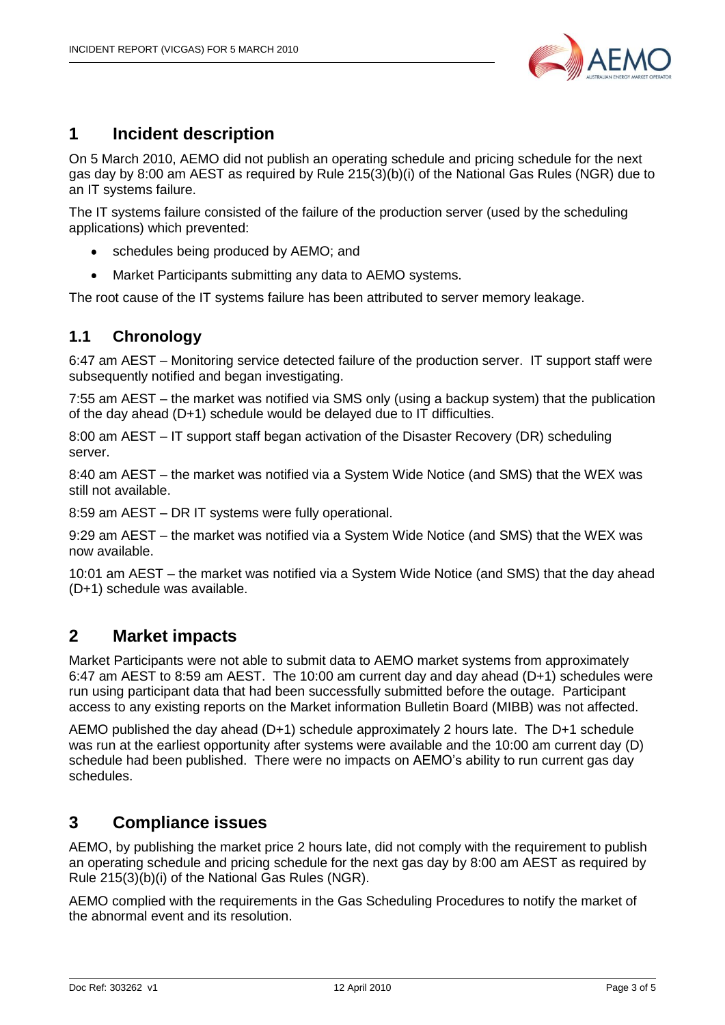

# <span id="page-2-0"></span>**1 Incident description**

On 5 March 2010, AEMO did not publish an operating schedule and pricing schedule for the next gas day by 8:00 am AEST as required by Rule 215(3)(b)(i) of the National Gas Rules (NGR) due to an IT systems failure.

The IT systems failure consisted of the failure of the production server (used by the scheduling applications) which prevented:

- schedules being produced by AEMO; and  $\bullet$
- Market Participants submitting any data to AEMO systems.  $\bullet$

The root cause of the IT systems failure has been attributed to server memory leakage.

#### <span id="page-2-1"></span>**1.1 Chronology**

6:47 am AEST – Monitoring service detected failure of the production server. IT support staff were subsequently notified and began investigating.

7:55 am AEST – the market was notified via SMS only (using a backup system) that the publication of the day ahead (D+1) schedule would be delayed due to IT difficulties.

8:00 am AEST – IT support staff began activation of the Disaster Recovery (DR) scheduling server.

8:40 am AEST – the market was notified via a System Wide Notice (and SMS) that the WEX was still not available.

8:59 am AEST – DR IT systems were fully operational.

9:29 am AEST – the market was notified via a System Wide Notice (and SMS) that the WEX was now available.

10:01 am AEST – the market was notified via a System Wide Notice (and SMS) that the day ahead (D+1) schedule was available.

### <span id="page-2-2"></span>**2 Market impacts**

Market Participants were not able to submit data to AEMO market systems from approximately 6:47 am AEST to 8:59 am AEST. The 10:00 am current day and day ahead (D+1) schedules were run using participant data that had been successfully submitted before the outage. Participant access to any existing reports on the Market information Bulletin Board (MIBB) was not affected.

AEMO published the day ahead (D+1) schedule approximately 2 hours late. The D+1 schedule was run at the earliest opportunity after systems were available and the 10:00 am current day (D) schedule had been published. There were no impacts on AEMO's ability to run current gas day schedules.

#### <span id="page-2-3"></span>**3 Compliance issues**

AEMO, by publishing the market price 2 hours late, did not comply with the requirement to publish an operating schedule and pricing schedule for the next gas day by 8:00 am AEST as required by Rule 215(3)(b)(i) of the National Gas Rules (NGR).

AEMO complied with the requirements in the Gas Scheduling Procedures to notify the market of the abnormal event and its resolution.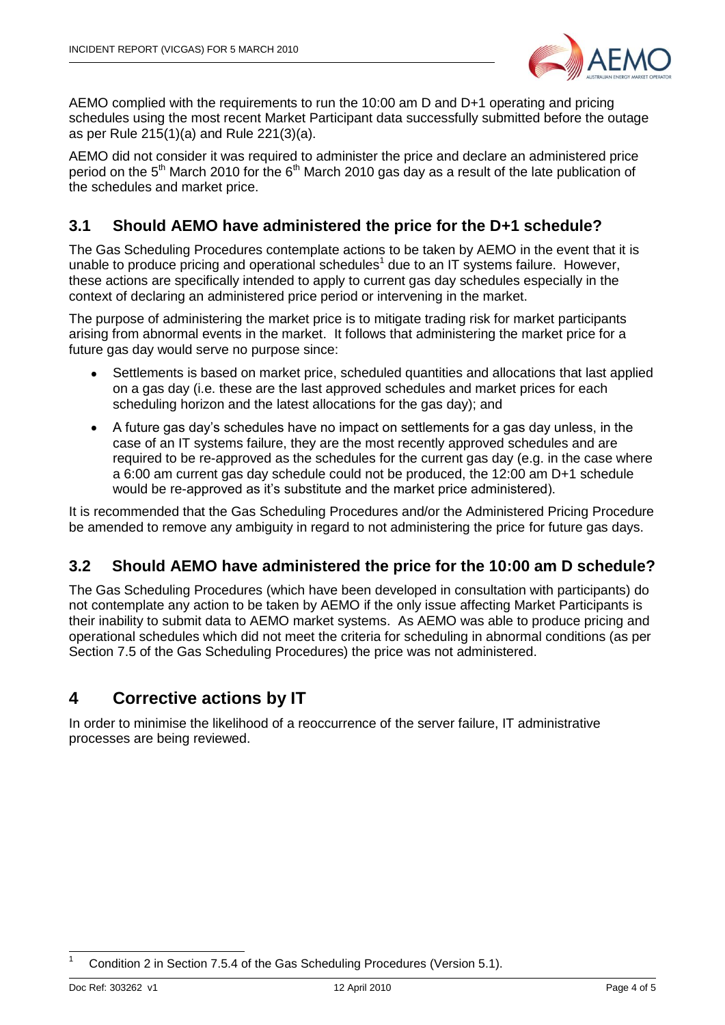

AEMO complied with the requirements to run the 10:00 am D and D+1 operating and pricing schedules using the most recent Market Participant data successfully submitted before the outage as per Rule 215(1)(a) and Rule 221(3)(a).

AEMO did not consider it was required to administer the price and declare an administered price period on the  $5<sup>th</sup>$  March 2010 for the  $6<sup>th</sup>$  March 2010 gas day as a result of the late publication of the schedules and market price.

#### <span id="page-3-0"></span>**3.1 Should AEMO have administered the price for the D+1 schedule?**

The Gas Scheduling Procedures contemplate actions to be taken by AEMO in the event that it is unable to produce pricing and operational schedules<sup>1</sup> due to an IT systems failure. However, these actions are specifically intended to apply to current gas day schedules especially in the context of declaring an administered price period or intervening in the market.

The purpose of administering the market price is to mitigate trading risk for market participants arising from abnormal events in the market. It follows that administering the market price for a future gas day would serve no purpose since:

- Settlements is based on market price, scheduled quantities and allocations that last applied on a gas day (i.e. these are the last approved schedules and market prices for each scheduling horizon and the latest allocations for the gas day); and
- $\bullet$ A future gas day's schedules have no impact on settlements for a gas day unless, in the case of an IT systems failure, they are the most recently approved schedules and are required to be re-approved as the schedules for the current gas day (e.g. in the case where a 6:00 am current gas day schedule could not be produced, the 12:00 am D+1 schedule would be re-approved as it's substitute and the market price administered).

It is recommended that the Gas Scheduling Procedures and/or the Administered Pricing Procedure be amended to remove any ambiguity in regard to not administering the price for future gas days.

#### <span id="page-3-1"></span>**3.2 Should AEMO have administered the price for the 10:00 am D schedule?**

The Gas Scheduling Procedures (which have been developed in consultation with participants) do not contemplate any action to be taken by AEMO if the only issue affecting Market Participants is their inability to submit data to AEMO market systems. As AEMO was able to produce pricing and operational schedules which did not meet the criteria for scheduling in abnormal conditions (as per Section 7.5 of the Gas Scheduling Procedures) the price was not administered.

# <span id="page-3-2"></span>**4 Corrective actions by IT**

In order to minimise the likelihood of a reoccurrence of the server failure, IT administrative processes are being reviewed.

<sup>-</sup>Condition 2 in Section 7.5.4 of the Gas Scheduling Procedures (Version 5.1).